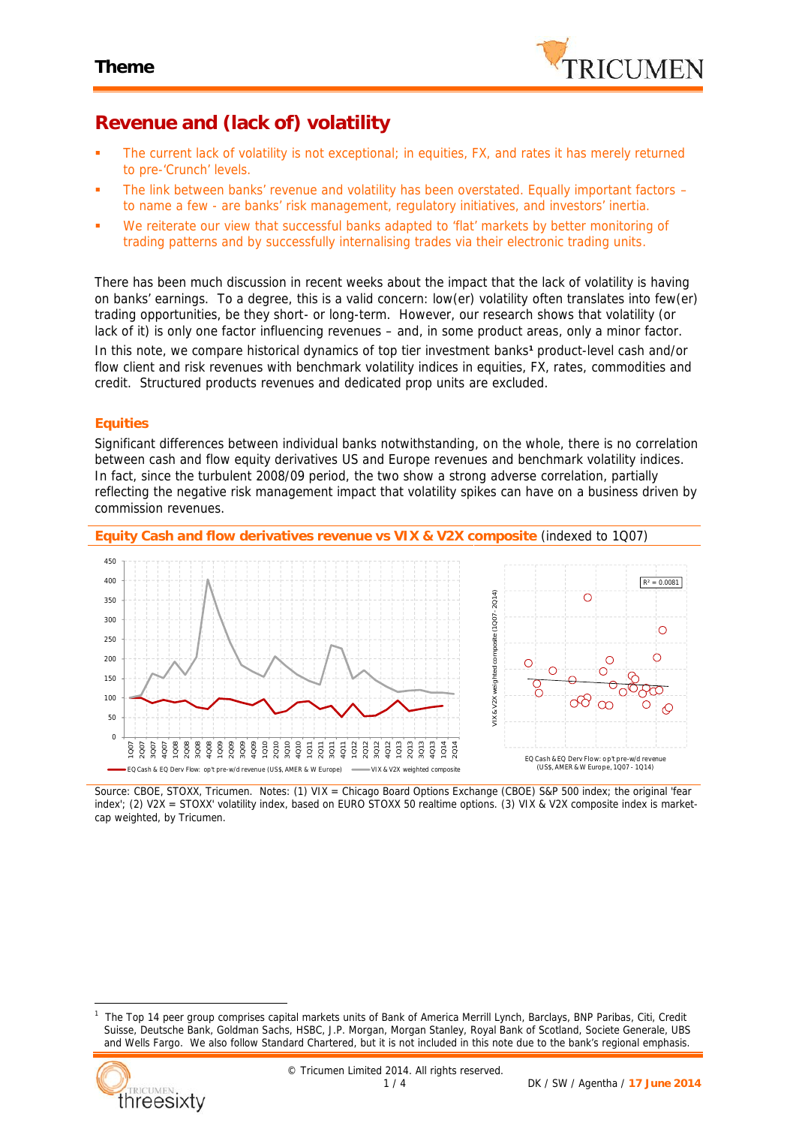

# **Revenue and (lack of) volatility**

- The current lack of volatility is not exceptional; in equities, FX, and rates it has merely returned to pre-'Crunch' levels.
- The link between banks' revenue and volatility has been overstated. Equally important factors to name a few - are banks' risk management, regulatory initiatives, and investors' inertia.
- We reiterate our view that successful banks adapted to 'flat' markets by better monitoring of trading patterns and by successfully internalising trades via their electronic trading units.

There has been much discussion in recent weeks about the impact that the lack of volatility is having on banks' earnings. To a degree, this is a valid concern: low(er) volatility often translates into few(er) trading opportunities, be they short- or long-term. However, our research shows that volatility (or lack of it) is only one factor influencing revenues – and, in some product areas, only a minor factor. In this note, we compare historical dynamics of top tier investment banks*<sup>1</sup>* product-level cash and/or flow client and risk revenues with benchmark volatility indices in equities, FX, rates, commodities and credit. Structured products revenues and dedicated prop units are excluded.

### **Equities**

Significant differences between individual banks notwithstanding, on the whole, there is no correlation between cash and flow equity derivatives US and Europe revenues and benchmark volatility indices. In fact, since the turbulent 2008/09 period, the two show a strong *adverse* correlation, partially reflecting the negative risk management impact that volatility spikes can have on a business driven by commission revenues.



*Source: CBOE, STOXX, Tricumen. Notes: (1) VIX = Chicago Board Options Exchange (CBOE) S&P 500 index; the original 'fear index'; (2) V2X = STOXX' volatility index, based on EURO STOXX 50 realtime options. (3) VIX & V2X composite index is market cap weighted, by Tricumen.*

*<sup>1</sup> The Top 14 peer group comprises capital markets units of Bank of America Merrill Lynch, Barclays, BNP Paribas, Citi, Credit Suisse, Deutsche Bank, Goldman Sachs, HSBC, J.P. Morgan, Morgan Stanley, Royal Bank of Scotland, Societe Generale, UBS and Wells Fargo. We also follow Standard Chartered, but it is not included in this note due to the bank's regional emphasis.*

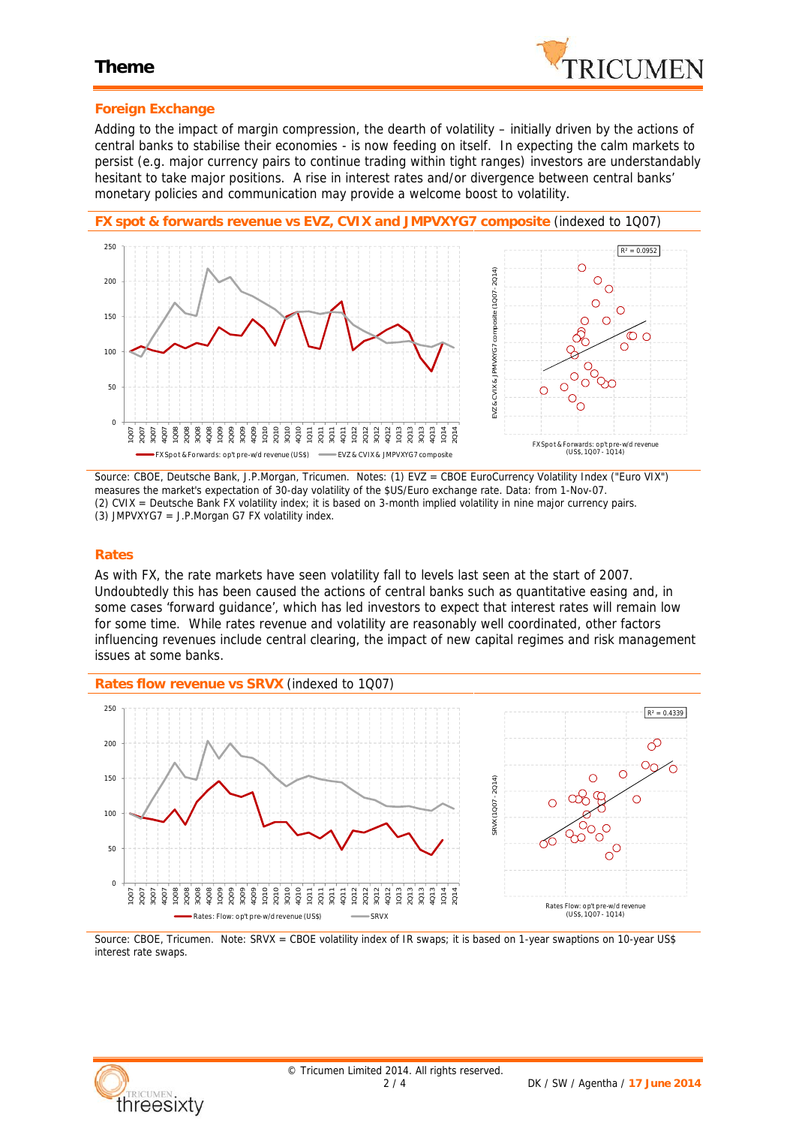### **Theme**



### **Foreign Exchange**

Adding to the impact of margin compression, the dearth of volatility – initially driven by the actions of central banks to stabilise their economies - is now feeding on itself. In expecting the calm markets to persist (e.g. major currency pairs to continue trading within tight ranges) investors are understandably hesitant to take major positions. A rise in interest rates and/or divergence between central banks' monetary policies and communication may provide a welcome boost to volatility.



*Source: CBOE, Deutsche Bank, J.P.Morgan, Tricumen. Notes: (1) EVZ = CBOE EuroCurrency Volatility Index ("Euro VIX") measures the market's expectation of 30-day volatility of the \$US/Euro exchange rate. Data: from 1-Nov-07. (2) CVIX = Deutsche Bank FX volatility index; it is based on 3-month implied volatility in nine major currency pairs. (3) JMPVXYG7 = J.P.Morgan G7 FX volatility index.*

### **Rates**

As with FX, the rate markets have seen volatility fall to levels last seen at the start of 2007. Undoubtedly this has been caused the actions of central banks such as quantitative easing and, in some cases 'forward guidance', which has led investors to expect that interest rates will remain low for some time. While rates revenue and volatility are reasonably well coordinated, other factors influencing revenues include central clearing, the impact of new capital regimes and risk management issues at some banks.



*Source: CBOE, Tricumen. Note: SRVX = CBOE volatility index of IR swaps; it is based on 1-year swaptions on 10-year US\$ interest rate swaps.*

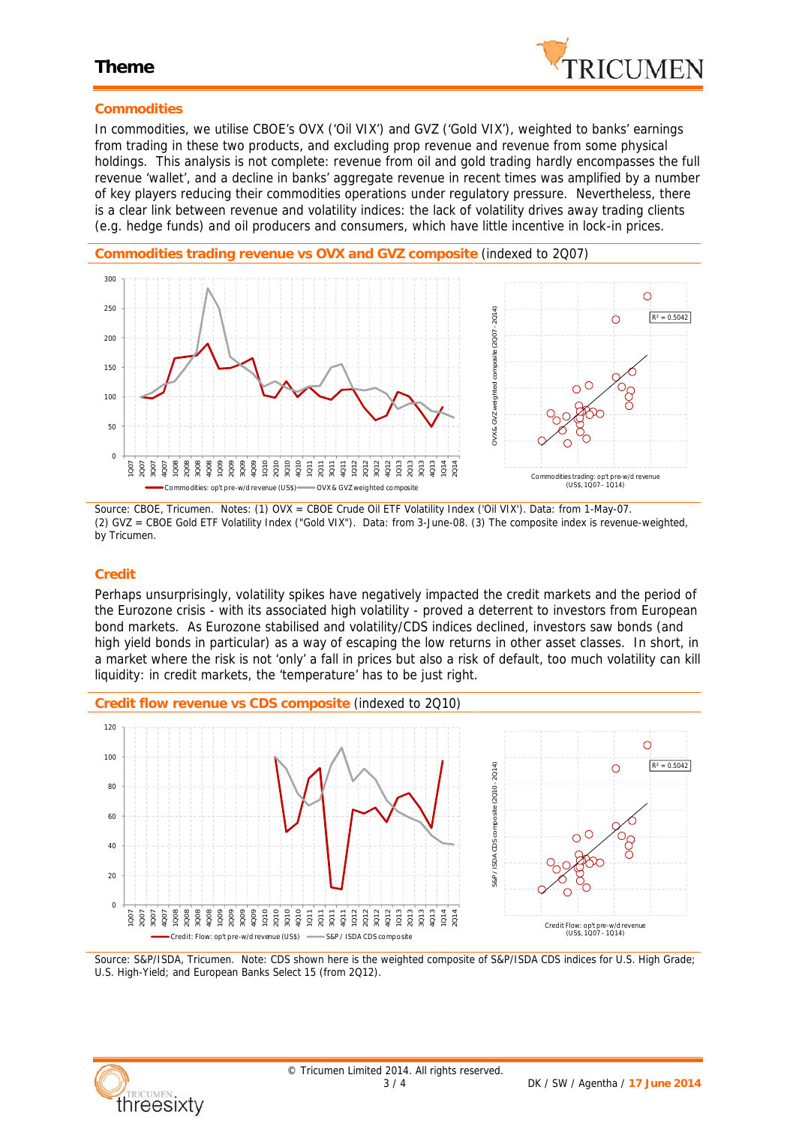

### **Theme**

### **Commodities**

In commodities, we utilise CBOE's OVX ('Oil VIX') and GVZ ('Gold VIX'), weighted to banks' earnings from trading in these two products, and excluding prop revenue and revenue from some physical holdings. This analysis is not complete: revenue from oil and gold trading hardly encompasses the full revenue 'wallet', and a decline in banks' aggregate revenue in recent times was amplified by a number of key players reducing their commodities operations under regulatory pressure. Nevertheless, there is a clear link between revenue and volatility indices: the lack of volatility drives away trading clients (e.g. hedge funds) and oil producers and consumers, which have little incentive in lock-in prices.



*Source: CBOE, Tricumen. Notes: (1) OVX = CBOE Crude Oil ETF Volatility Index ('Oil VIX'). Data: from 1-May-07. (2) GVZ = CBOE Gold ETF Volatility Index ("Gold VIX"). Data: from 3-June-08. (3) The composite index is revenue-weighted, by Tricumen.*

### **Credit**

Perhaps unsurprisingly, volatility spikes have negatively impacted the credit markets and the period of the Eurozone crisis - with its associated high volatility - proved a deterrent to investors from European bond markets. As Eurozone stabilised and volatility/CDS indices declined, investors saw bonds (and high yield bonds in particular) as a way of escaping the low returns in other asset classes. In short, in a market where the risk is not 'only' a fall in prices but also a risk of default, too much volatility can kill liquidity: in credit markets, the 'temperature' has to be just right.



*Source: S&P/ISDA, Tricumen. Note: CDS shown here is the weighted composite of S&P/ISDA CDS indices for U.S. High Grade; U.S. High-Yield; and European Banks Select 15 (from 2Q12).*